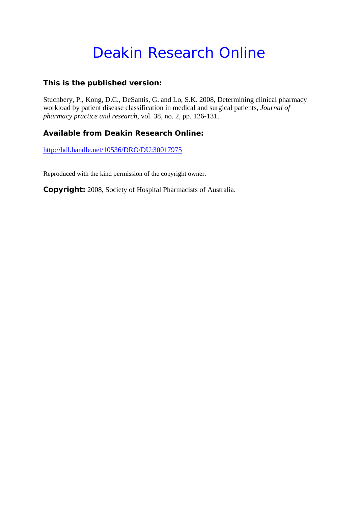# Deakin Research Online

### **This is the published version:**

Stuchbery, P., Kong, D.C., DeSantis, G. and Lo, S.K. 2008, Determining clinical pharmacy workload by patient disease classification in medical and surgical patients*, Journal of pharmacy practice and research*, vol. 38, no. 2, pp. 126-131.

## **Available from Deakin Research Online:**

http://hdl.handle.net/10536/DRO/DU:30017975

Reproduced with the kind permission of the copyright owner.

**Copyright:** 2008, Society of Hospital Pharmacists of Australia.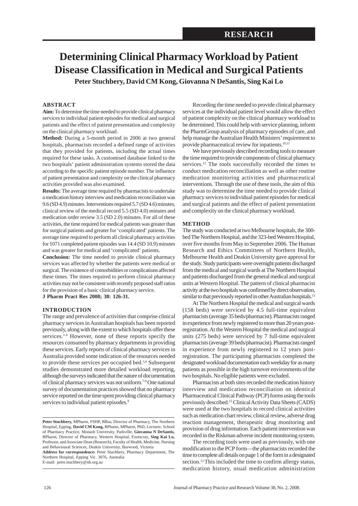# **Determining Clinical Pharmacy Workload by Patient Disease Classification in Medical and Surgical Patients**

**Peter Stuchbery, David CM Kong, Giovanna N DeSantis, Sing Kai Lo**

#### **ABSTRACT**

**Aim:** To determine the time needed to provide clinical pharmacy services to individual patient episodes for medical and surgical patients and the effect of patient presentation and complexity on the clinical pharmacy workload.

**Method:** During a 5-month period in 2006 at two general hospitals, pharmacists recorded a defined range of activities that they provided for patients, including the actual times required for these tasks. A customised database linked to the two hospitals' patient administration systems stored the data according to the specific patient episode number. The influence of patient presentation and complexity on the clinical pharmacy activities provided was also examined.

**Results:** The average time required by pharmacists to undertake a medication history interview and medication reconciliation was 9.6 (SD 4.9) minutes. Interventions required 5.7 (SD 4.6) minutes, clinical review of the medical record 5.5 (SD 4.0) minutes and medication order review 3.5 (SD 2.0) minutes. For all of these activities, the time required for medical patients was greater than for surgical patients and greater for 'complicated' patients. The average time required to perform all clinical pharmacy activities for 1071 completed patient episodes was 14.4 (SD 10.9) minutes and was greater for medical and 'complicated' patients.

**Conclusion:** The time needed to provide clinical pharmacy services was affected by whether the patients were medical or surgical. The existence of comorbidities or complications affected these times. The times required to perform clinical pharmacy activities may not be consistent with recently proposed staff ratios for the provision of a basic clinical pharmacy service. **J Pharm Pract Res 2008; 38: 126-31.**

#### **INTRODUCTION**

The range and prevalence of activities that comprise clinical pharmacy services in Australian hospitals has been reported previously, along with the extent to which hospitals offer these services.<sup>14</sup> However, none of these reports specify the resources consumed by pharmacy departments in providing these services. Early reports of clinical pharmacy services in Australia provided some indication of the resources needed to provide these services per occupied bed.5,6 Subsequent studies demonstrated more detailed workload reporting, although the surveys indicated that the nature of documentation of clinical pharmacy services was not uniform.7-9 One national survey of documentation practices showed that no pharmacy service reported on the time spent providing clinical pharmacy services to individual patient episodes.<sup>9</sup>

Recording the time needed to provide clinical pharmacy services at the individual patient level would allow the effect of patient complexity on the clinical pharmacy workload to be determined. This could help with service planning, inform the PharmGroup analysis of pharmacy episodes of care, and help manage the Australian Health Ministers' requirement to provide pharmaceutical review for inpatients.10,11

We have previously described recording tools to measure the time required to provide components of clinical pharmacy services.<sup>12</sup> The tools successfully recorded the times to conduct medication reconciliation as well as other routine medication monitoring activities and pharmaceutical interventions. Through the use of these tools, the aim of this study was to determine the time needed to provide clinical pharmacy services to individual patient episodes for medical and surgical patients and the effect of patient presentation and complexity on the clinical pharmacy workload.

#### **METHOD**

The study was conducted at two Melbourne hospitals, the 300 bed The Northern Hospital, and the 323-bed Western Hospital, over five months from May to September 2006. The Human Research and Ethics Committees of Northern Health, Melbourne Health and Deakin University gave approval for the study. Study participants were overnight patients discharged from the medical and surgical wards at The Northern Hospital and patients discharged from the general medical and surgical units at Western Hospital. The pattern of clinical pharmacist activity at the two hospitals was confirmed by direct observation, similar to that previously reported in other Australian hospitals.<sup>13</sup>

At The Northern Hospital the medical and surgical wards (158 beds) were serviced by 4.5 full-time equivalent pharmacists (average 35 beds/pharmacist). Pharmacists ranged in experience from newly registered to more than 20 years postregistration. At the Western Hospital the medical and surgical units (275 beds) were serviced by 7 full-time equivalent pharmacists (average 39 beds/pharmacist). Pharmacists ranged in experience from newly registered to 12 years postregistration. The participating pharmacists completed the designated workload documentation each weekday for as many patients as possible in the high turnover environments of the two hospitals. No eligible patients were excluded.

Pharmacists at both sites recorded the medication history interview and medication reconciliation on identical Pharmaceutical Clinical Pathway (PCP) forms using the tools previously described.12 Clinical Activity Data Sheets (CADS) were used at the two hospitals to record clinical activities such as medication chart review, clinical review, adverse drug reaction management, therapeutic drug monitoring and provision of drug information. Each patient intervention was recorded in the Riskman adverse incident monitoring system.

The recording tools were used as previously, with one modification to the PCP form—the pharmacists recorded the time to complete all details on page 1 of the form in a designated section.<sup>12</sup>This included the time to confirm allergy status, medication history, usual medication administration

**Peter Stuchbery,** MPharm, FSHP, BBus, Director of Pharmacy, The Northern Hospital, Epping, **David CM Kong,** BPharm, MPharm, PhD, Lecturer, School of Pharmacy Practice, Monash University, Parkville, **Giovanna N DeSantis,** BPharm, Director of Pharmacy, Western Hospital, Footscray, **Sing Kai Lo,** Professor, and Associate Dean (Research), Faculty of Health, Medicine, Nursing and Behavioural Sciences, Deakin University, Burwood, Victoria

**Address for correspondence:** Peter Stuchbery, Pharmacy Department, The Northern Hospital, Epping Vic. 3076, Australia E-mail: peter.stuchbery@nh.org.au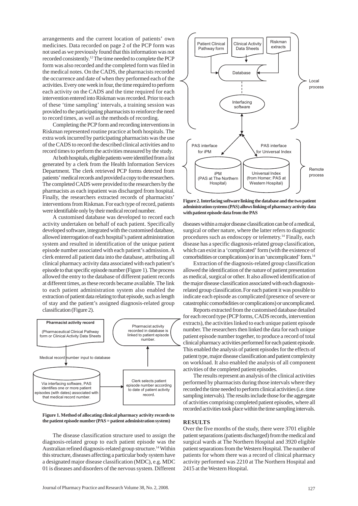arrangements and the current location of patients' own medicines. Data recorded on page 2 of the PCP form was not used as we previously found that this information was not recorded consistently.12 The time needed to complete the PCP form was also recorded and the completed form was filed in the medical notes. On the CADS, the pharmacists recorded the occurrence and date of when they performed each of the activities. Every one week in four, the time required to perform each activity on the CADS and the time required for each intervention entered into Riskman was recorded. Prior to each of these 'time sampling' intervals, a training session was provided to the participating pharmacists to reinforce the need to record times, as well as the methods of recording.

Completing the PCP form and recording interventions in Riskman represented routine practice at both hospitals. The extra work incurred by participating pharmacists was the use of the CADS to record the described clinical activities and to record times to perform the activities measured by the study.

At both hospitals, eligible patients were identified from a list generated by a clerk from the Health Information Services Department. The clerk retrieved PCP forms detected from patients' medical records and provided a copy to the researchers. The completed CADS were provided to the researchers by the pharmacists as each inpatient was discharged from hospital. Finally, the researchers extracted records of pharmacists' interventions from Riskman. For each type of record, patients were identifiable only by their medical record number.

A customised database was developed to record each activity undertaken on behalf of each patient. Specifically developed software, integrated with the customised database, allowed interrogation of each hospital's patient administration system and resulted in identification of the unique patient episode number associated with each patient's admission. A clerk entered all patient data into the database, attributing all clinical pharmacy activity data associated with each patient's episode to that specific episode number (Figure 1). The process allowed the entry to the database of different patient records at different times, as these records became available. The link to each patient administration system also enabled the extraction of patient data relating to that episode, such as length of stay and the patient's assigned diagnosis-related group classification (Figure 2).



**Figure 1. Method of allocating clinical pharmacy activity records to the patient episode number (PAS = patient administration system)**

The disease classification structure used to assign the diagnosis-related group to each patient episode was the Australian refined diagnosis-related group structure.<sup>14</sup> Within this structure, diseases affecting a particular body system have a designated major disease classification (MDC), e.g. MDC 01 is diseases and disorders of the nervous system. Different



**Figure 2. Interfacing software linking the database and the two patient administration systems (PAS) allows linking of pharmacy activity data with patient episode data from the PAS**

diseases within a major disease classification can be of a medical, surgical or other nature, where the latter refers to diagnostic procedures such as endoscopy or telemetry.14 Finally, each disease has a specific diagnosis-related group classification, which can exist in a 'complicated' form (with the existence of comorbidities or complications) or in an 'uncomplicated' form.14

Extraction of the diagnosis-related group classification allowed the identification of the nature of patient presentation as medical, surgical or other. It also allowed identification of the major disease classification associated with each diagnosisrelated group classification.For each patient it was possible to indicate each episode as complicated (presence of severe or catastrophic comorbidities or complications) or uncomplicated.

Reports extracted from the customised database detailed for each record type (PCP forms, CADS records, intervention extracts), the activities linked to each unique patient episode number. The researchers then linked the data for each unique patient episode number together, to produce a record of total clinical pharmacy activities performed for each patient episode. This enabled the analysis of patient episodes for the effects of patient type, major disease classification and patient complexity on workload. It also enabled the analysis of all component activities of the completed patient episodes.

The results represent an analysis of the clinical activities performed by pharmacists during those intervals where they recorded the time needed to perform clinical activities (i.e. time sampling intervals). The results include those for the aggregate of activities comprising completed patient episodes, where all recorded activities took place within the time sampling intervals.

#### **RESULTS**

Over the five months of the study, there were 3701 eligible patient separations (patients discharged) from the medical and surgical wards at The Northern Hospital and 3920 eligible patient separations from the Western Hospital. The number of patients for whom there was a record of clinical pharmacy activity performed was 2210 at The Northern Hospital and 2415 at the Western Hospital.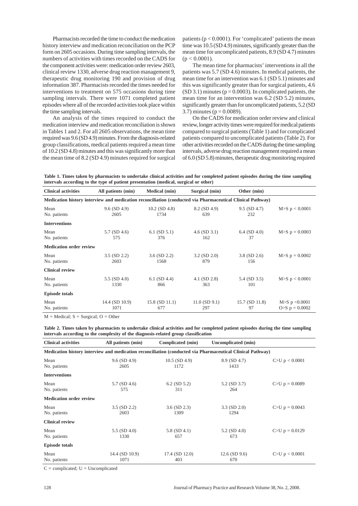Pharmacists recorded the time to conduct the medication history interview and medication reconciliation on the PCP form on 2605 occasions. During time sampling intervals, the numbers of activities with times recorded on the CADS for the component activities were: medication order review 2603, clinical review 1330, adverse drug reaction management 9, therapeutic drug monitoring 190 and provision of drug information 387. Pharmacists recorded the times needed for interventions to treatment on 575 occasions during time sampling intervals. There were 1071 completed patient episodes where all of the recorded activities took place within the time sampling intervals.

An analysis of the times required to conduct the medication interview and medication reconciliation is shown in Tables 1 and 2. For all 2605 observations, the mean time required was 9.6 (SD 4.9) minutes. From the diagnosis-related group classifications, medical patients required a mean time of 10.2 (SD 4.8) minutes and this was significantly more than the mean time of 8.2 (SD 4.9) minutes required for surgical patients ( $p < 0.0001$ ). For 'complicated' patients the mean time was 10.5 (SD 4.9) minutes, significantly greater than the mean time for uncomplicated patients, 8.9 (SD 4.7) minutes  $(p < 0.0001)$ .

The mean time for pharmacists' interventions in all the patients was 5.7 (SD 4.6) minutes. In medical patients, the mean time for an intervention was 6.1 (SD 5.1) minutes and this was significantly greater than for surgical patients, 4.6  $(SD 3.1)$  minutes ( $p = 0.0003$ ). In complicated patients, the mean time for an intervention was 6.2 (SD 5.2) minutes, significantly greater than for uncomplicated patients, 5.2 (SD 3.7) minutes ( $p = 0.0089$ ).

On the CADS for medication order review and clinical review, longer activity times were required for medical patients compared to surgical patients (Table 1) and for complicated patients compared to uncomplicated patients (Table 2). For other activities recorded on the CADS during the time sampling intervals, adverse drug reaction management required a mean of 6.0 (SD 5.8) minutes, therapeutic drug monitoring required

Table 1. Times taken by pharmacists to undertake clinical activities and for completed patient episodes during the time sampling **intervals according to the type of patient presentation (medical, surgical or other)**

| <b>Clinical activities</b>                                                                                 | All patients (min)        | <b>Medical</b> (min)     | Surgical (min)            | Other (min)              |                                        |  |  |
|------------------------------------------------------------------------------------------------------------|---------------------------|--------------------------|---------------------------|--------------------------|----------------------------------------|--|--|
| Medication history interview and medication reconciliation (conducted via Pharmaceutical Clinical Pathway) |                           |                          |                           |                          |                                        |  |  |
| Mean<br>No. patients                                                                                       | $9.6$ (SD 4.9)<br>2605    | $10.2$ (SD 4.8)<br>1734  | 8.2 (SD 4.9)<br>639       | $9.5$ (SD 4.7)<br>232    | M > S p < 0.0001                       |  |  |
| <b>Interventions</b>                                                                                       |                           |                          |                           |                          |                                        |  |  |
| Mean<br>No. patients                                                                                       | $5.7$ (SD 4.6)<br>575     | $6.1$ (SD $5.1$ )<br>376 | $4.6$ (SD $3.1$ )<br>162  | $6.4$ (SD 4.0)<br>37     | $M > S p = 0.0003$                     |  |  |
| <b>Medication order review</b>                                                                             |                           |                          |                           |                          |                                        |  |  |
| Mean<br>No. patients                                                                                       | $3.5$ (SD $2.2$ )<br>2603 | $3.6$ (SD 2.2)<br>1568   | $3.2$ (SD $2.0$ )<br>879  | $3.8$ (SD $2.6$ )<br>156 | $M > S p = 0.0002$                     |  |  |
| <b>Clinical review</b>                                                                                     |                           |                          |                           |                          |                                        |  |  |
| Mean<br>No. patients                                                                                       | $5.5$ (SD 4.0)<br>1330    | $6.1$ (SD 4.4)<br>866    | $4.1$ (SD 2.8)<br>363     | 5.4 (SD 3.5)<br>101      | M > S p < 0.0001                       |  |  |
| <b>Episode totals</b>                                                                                      |                           |                          |                           |                          |                                        |  |  |
| Mean<br>No. patients                                                                                       | 14.4 (SD 10.9)<br>1071    | 15.8 (SD 11.1)<br>677    | $11.0$ (SD $9.1$ )<br>297 | 15.7 (SD 11.8)<br>97     | $M > S$ p < 0.0001<br>O>S $p = 0.0002$ |  |  |

 $M = Medical; S = surgical; O = Other$ 

Table 2. Times taken by pharmacists to undertake clinical activities and for completed patient episodes during the time sampling **intervals according to the complexity of the diagnosis-related group classification**

| <b>Clinical activities</b>                                                                                 | All patients (min)        | Complicated (min)         | Uncomplicated (min)       |                     |  |  |  |  |
|------------------------------------------------------------------------------------------------------------|---------------------------|---------------------------|---------------------------|---------------------|--|--|--|--|
| Medication history interview and medication reconciliation (conducted via Pharmaceutical Clinical Pathway) |                           |                           |                           |                     |  |  |  |  |
| Mean<br>No. patients                                                                                       | $9.6$ (SD 4.9)<br>2605    | $10.5$ (SD 4.9)<br>1172   | 8.9 (SD 4.7)<br>1433      | C $>U$ p $< 0.0001$ |  |  |  |  |
| <b>Interventions</b>                                                                                       |                           |                           |                           |                     |  |  |  |  |
| Mean<br>No. patients                                                                                       | 5.7 (SD 4.6)<br>575       | $6.2$ (SD $5.2$ )<br>311  | $5.2$ (SD $3.7$ )<br>264  | C $>U$ p = 0.0089   |  |  |  |  |
| <b>Medication order review</b>                                                                             |                           |                           |                           |                     |  |  |  |  |
| Mean<br>No. patients                                                                                       | $3.5$ (SD $2.2$ )<br>2603 | $3.6$ (SD $2.3$ )<br>1309 | $3.3$ (SD $2.0$ )<br>1294 | C $>U$ p = 0.0043   |  |  |  |  |
| <b>Clinical review</b>                                                                                     |                           |                           |                           |                     |  |  |  |  |
| Mean<br>No. patients                                                                                       | $5.5$ (SD 4.0)<br>1330    | 5.8 $(SD 4.1)$<br>657     | 5.2 $(SD 4.0)$<br>673     | C $>U$ p = 0.0129   |  |  |  |  |
| <b>Episode totals</b>                                                                                      |                           |                           |                           |                     |  |  |  |  |
| Mean<br>No. patients                                                                                       | 14.4 (SD 10.9)<br>1071    | 17.4 (SD 12.0)<br>403     | $12.6$ (SD $9.6$ )<br>670 | C $>U$ p $< 0.0001$ |  |  |  |  |

 $C =$  complicated;  $U =$  Uncomplicated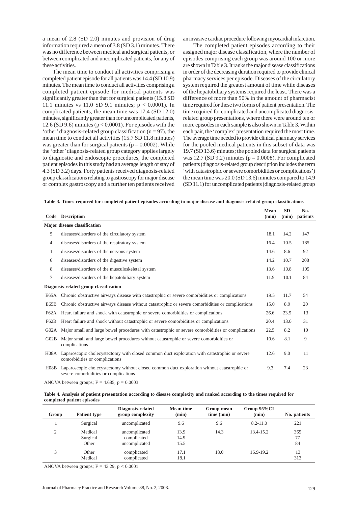a mean of 2.8 (SD 2.0) minutes and provision of drug information required a mean of 3.8 (SD 3.1) minutes. There was no difference between medical and surgical patients, or between complicated and uncomplicated patients, for any of these activities.

The mean time to conduct all activities comprising a completed patient episode for all patients was 14.4 (SD 10.9) minutes. The mean time to conduct all activities comprising a completed patient episode for medical patients was significantly greater than that for surgical patients (15.8 SD 11.1 minutes vs 11.0 SD 9.1 minutes; p < 0.0001). In complicated patients, the mean time was 17.4 (SD 12.0) minutes, significantly greater than for uncomplicated patients, 12.6 (SD 9.6) minutes ( $p < 0.0001$ ). For episodes with the 'other' diagnosis-related group classification  $(n = 97)$ , the mean time to conduct all activities (15.7 SD 11.8 minutes) was greater than for surgical patients ( $p = 0.0002$ ). While the 'other' diagnosis-related group category applies largely to diagnostic and endoscopic procedures, the completed patient episodes in this study had an average length of stay of 4.3 (SD 3.2) days. Forty patients received diagnosis-related group classifications relating to gastroscopy for major disease or complex gastroscopy and a further ten patients received an invasive cardiac procedure following myocardial infarction.

The completed patient episodes according to their assigned major disease classification, where the number of episodes comprising each group was around 100 or more are shown in Table 3. It ranks the major disease classifications in order of the decreasing duration required to provide clinical pharmacy services per episode. Diseases of the circulatory system required the greatest amount of time while diseases of the hepatobiliary systems required the least. There was a difference of more than 50% in the amount of pharmacist time required for these two forms of patient presentation. The time required for complicated and uncomplicated diagnosisrelated group presentations, where there were around ten or more episodes in each sample is also shown in Table 3. Within each pair, the 'complex' presentation required the most time. The average time needed to provide clinical pharmacy services for the pooled medical patients in this subset of data was 19.7 (SD 13.6) minutes; the pooled data for surgical patients was 12.7 (SD 9.2) minutes ( $p = 0.0008$ ). For complicated patients (diagnosis-related group description includes the term 'with catastrophic or severe comorbidities or complications') the mean time was 20.0 (SD 13.6) minutes compared to 14.9 (SD 11.1) for uncomplicated patients (diagnosis-related group

|  |  |  | Table 3. Times required for completed patient episodes according to major disease and diagnosis-related group classifications |
|--|--|--|-------------------------------------------------------------------------------------------------------------------------------|
|  |  |  |                                                                                                                               |

| Code                         | <b>Description</b>                                                                                                                   | <b>Mean</b><br>(min) | <b>SD</b><br>(min) | No.<br>patients |  |  |  |
|------------------------------|--------------------------------------------------------------------------------------------------------------------------------------|----------------------|--------------------|-----------------|--|--|--|
| Major disease classification |                                                                                                                                      |                      |                    |                 |  |  |  |
| 5                            | diseases/disorders of the circulatory system                                                                                         | 18.1                 | 14.2               | 147             |  |  |  |
| 4                            | diseases/disorders of the respiratory system                                                                                         | 16.4                 | 10.5               | 185             |  |  |  |
| $\mathbf{1}$                 | diseases/disorders of the nervous system                                                                                             | 14.6                 | 8.6                | 92              |  |  |  |
| 6                            | diseases/disorders of the digestive system                                                                                           | 14.2                 | 10.7               | 208             |  |  |  |
| 8                            | diseases/disorders of the musculoskeletal system                                                                                     | 13.6                 | 10.8               | 105             |  |  |  |
| 7                            | diseases/disorders of the hepatobiliary system                                                                                       | 11.9                 | 10.1               | 84              |  |  |  |
|                              | Diagnosis-related group classification                                                                                               |                      |                    |                 |  |  |  |
| E65A                         | Chronic obstructive airways disease with catastrophic or severe comorbidities or complications                                       | 19.5                 | 11.7               | 54              |  |  |  |
| E65B                         | Chronic obstructive airways disease without catastrophic or severe comorbidities or complications                                    | 15.0                 | 8.9                | 20              |  |  |  |
| F62A                         | Heart failure and shock with catastrophic or severe comorbidities or complications                                                   | 26.6                 | 23.5               | 13              |  |  |  |
| F62B                         | Heart failure and shock without catastrophic or severe comorbidities or complications                                                | 20.4                 | 13.0               | 31              |  |  |  |
| G02A                         | Major small and large bowel procedures with catastrophic or severe comorbidities or complications                                    | 22.5                 | 8.2                | 10              |  |  |  |
| G02B                         | Major small and large bowel procedures without catastrophic or severe comorbidities or<br>complications                              | 10.6                 | 8.1                | 9               |  |  |  |
| H08A                         | Laparoscopic cholecystectomy with closed common duct exploration with catastrophic or severe<br>comorbidities or complications       | 12.6                 | 9.0                | 11              |  |  |  |
| H08B                         | Laparoscopic cholecystectomy without closed common duct exploration without catastrophic or<br>severe comorbidities or complications | 9.3                  | 7.4                | 23              |  |  |  |

ANOVA between groups;  $F = 4.685$ ,  $p = 0.0003$ 

#### Table 4. Analysis of patient presentation according to disease complexity and ranked according to the times required for **completed patient episodes**

| Group         | <b>Patient type</b>          | Diagnosis-related<br>group complexity         | <b>Mean time</b><br>(min) | Group mean<br>time (min) | Group 95%CI<br>(min) | No. patients    |
|---------------|------------------------------|-----------------------------------------------|---------------------------|--------------------------|----------------------|-----------------|
|               | Surgical                     | uncomplicated                                 | 9.6                       | 9.6                      | $8.2 - 11.0$         | 221             |
| $\mathcal{L}$ | Medical<br>Surgical<br>Other | uncomplicated<br>complicated<br>uncomplicated | 13.9<br>14.9<br>15.5      | 14.3                     | $13.4 - 15.2$        | 365<br>77<br>84 |
|               | Other<br>Medical             | complicated<br>complicated                    | 17.1<br>18.1              | 18.0                     | $16.9 - 19.2$        | 13<br>313       |

ANOVA between groups;  $F = 43.29$ ,  $p < 0.0001$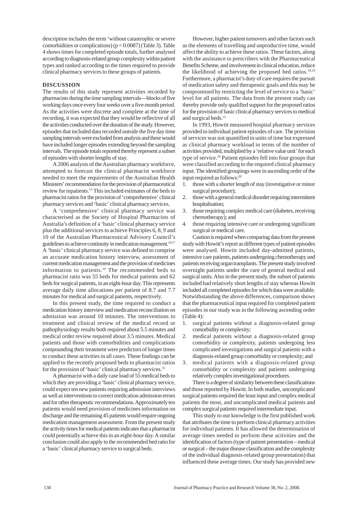description includes the term 'without catastrophic or severe comorbidities or complications) ( $p = 0.0087$ ) (Table 3). Table 4 shows times for completed episode totals, further analysed according to diagnosis-related group complexity within patient types and ranked according to the times required to provide clinical pharmacy services to these groups of patients.

#### **DISCUSSION**

The results of this study represent activities recorded by pharmacists during the time sampling intervals—blocks of five working days once every four weeks over a five-month period. As the activities were discrete and complete at the time of recording, it was expected that they would be reflective of all the activities conducted over the duration of the study. However, episodes that included data recorded outside the five day time sampling intervals were excluded from analysis and these would have included longer episodes extending beyond the sampling intervals. The episode totals reported thereby represent a subset of episodes with shorter lengths of stay.

A 2006 analysis of the Australian pharmacy workforce, attempted to forecast the clinical pharmacist workforce needed to meet the requirements of the Australian Health Ministers' recommendation for the provision of pharmaceutical review for inpatients.15 This included estimates of the beds to pharmacist ratios for the provision of 'comprehensive' clinical pharmacy services and 'basic' clinical pharmacy services.

A 'comprehensive' clinical pharmacy service was characterised as the Society of Hospital Pharmacists of Australia's definition of a 'basic' clinical pharmacy service plus the additional services to achieve Principles 6, 8, 9 and 10 of the Australian Pharmaceutical Advisory Council's guidelines to achieve continuity in medication management.<sup>16,17</sup> A 'basic' clinical pharmacy service was defined to comprise an accurate medication history interview, assessment of current medication management and the provision of medicines information to patients.<sup>16</sup> The recommended beds to pharmacist ratio was 55 beds for medical patients and 62 beds for surgical patients, in an eight-hour day. This represents average daily time allocations per patient of 8.7 and 7.7 minutes for medical and surgical patients, respectively.

In this present study, the time required to conduct a medication history interview and medication reconciliation on admission was around 10 minutes. The interventions to treatment and clinical review of the medical record or pathophysiology results both required about 5.5 minutes and medical order review required about 3.5 minutes. Medical patients and those with comorbidities and complications compounding their treatment were predictors of longer times to conduct these activities in all cases. These findings can be applied to the recently proposed beds to pharmacist ratios for the provision of 'basic' clinical pharmacy services.<sup>15</sup>

A pharmacist with a daily case load of 55 medical beds to which they are providing a 'basic' clinical pharmacy service, could expect ten new patients requiring admission interviews as well as interventions to correct medication admission errors and for other therapeutic recommendations. Approximately ten patients would need provision of medicines information on discharge and the remaining 45 patients would require ongoing medication management assessment. From the present study the activity times for medical patients indicates that a pharmacist could potentially achieve this in an eight-hour day. A similar conclusion could also apply to the recommended bed ratio for a 'basic' clinical pharmacy service to surgical beds.

However, higher patient turnovers and other factors such as the elements of travelling and unproductive time, would affect the ability to achieve these ratios. These factors, along with the assistance to prescribers with the Pharmaceutical Benefits Scheme, and involvement in clinical education, reduce the likelihood of achieving the proposed bed ratios.<sup>18,19</sup> Furthermore, a pharmacist's duty of care requires the pursuit of medication safety and therapeutic goals and this may be compromised by restricting the level of service to a 'basic' level for all patients. The data from the present study can thereby provide only qualified support for the proposed ratios for the provision of basic clinical pharmacy services to medical and surgical beds.15

In 1993, Howitt measured hospital pharmacy services provided to individual patient episodes of care. The provision of services was not quantified in units of time but expressed as clinical pharmacy workload in terms of the number of activities provided, multiplied by a 'relative value unit' for each type of service.20 Patient episodes fell into four groups that were classified according to the required clinical pharmacy input. The identified groupings were in ascending order of the input required as follows:<sup>20</sup>

- 1. those with a shorter length of stay (investigative or minor surgical procedure);
- 2. those with a general medical disorder requiring intermittent hospitalisation;
- 3. those requiring complex medical care (diabetes, receiving chemotherapy); and
- 4. those requiring intensive care or undergoing significant surgical or medical care.

Caution is required when comparing data from the present study with Howitt's report as different types of patient episodes were analysed. Howitt included day-admitted patients, intensive care patients, patients undergoing chemotherapy and patients receiving organ transplants. The present study involved overnight patients under the care of general medical and surgical units. Also in the present study, the subset of patients included had relatively short lengths of stay whereas Howitt included all completed episodes for which data were available. Notwithstanding the above differences, comparison shows that the pharmaceutical input required for completed patient episodes in our study was in the following ascending order  $(Table 4):$ 

- 1. surgical patients without a diagnosis-related group comorbidity or complexity;
- 2. medical patients without a diagnosis-related group comorbidity or complexity, patients undergoing less complicated investigations and surgical patients with a diagnosis-related group comorbidity or complexity; and
- 3. medical patients with a diagnosis-related group comorbidity or complexity and patients undergoing relatively complex investigational procedures.

There is a degree of similarity between these classifications and those reported by Howitt. In both studies, uncomplicated surgical patients required the least input and complex medical patients the most, and uncomplicated medical patients and complex surgical patients required intermediate input.

This study to our knowledge is the first published work that attributes the time to perform clinical pharmacy activities for individual patients. It has allowed the determination of average times needed to perform these activities and the identification of factors (type of patient presentation – medical or surgical – the major disease classification and the complexity of the individual diagnosis-related group presentation) that influenced these average times. Our study has provided new